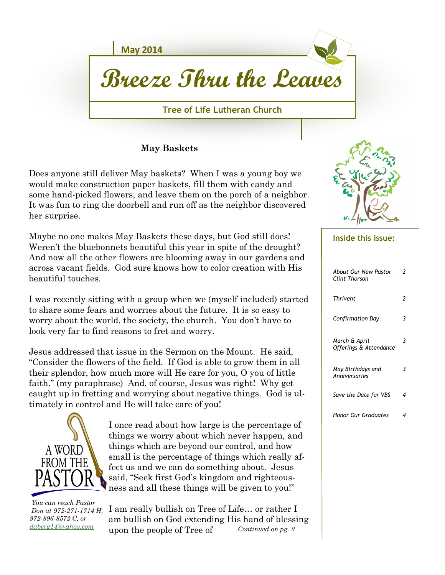

**May Baskets**

Does anyone still deliver May baskets? When I was a young boy we would make construction paper baskets, fill them with candy and some hand-picked flowers, and leave them on the porch of a neighbor. It was fun to ring the doorbell and run off as the neighbor discovered her surprise.

Maybe no one makes May Baskets these days, but God still does! Weren't the bluebonnets beautiful this year in spite of the drought? And now all the other flowers are blooming away in our gardens and across vacant fields. God sure knows how to color creation with His beautiful touches.

I was recently sitting with a group when we (myself included) started to share some fears and worries about the future. It is so easy to worry about the world, the society, the church. You don't have to look very far to find reasons to fret and worry.

Jesus addressed that issue in the Sermon on the Mount. He said, "Consider the flowers of the field. If God is able to grow them in all their splendor, how much more will He care for you, O you of little faith." (my paraphrase) And, of course, Jesus was right! Why get caught up in fretting and worrying about negative things. God is ultimately in control and He will take care of you!



I once read about how large is the percentage of things we worry about which never happen, and things which are beyond our control, and how small is the percentage of things which really affect us and we can do something about. Jesus said, "Seek first God's kingdom and righteousness and all these things will be given to you!"

 *You can reach Pastor Don at 972-271-1714 H, 972-896-8572 C, or [daberg14@yahoo.com](mailto:daberg14@yahoo.com)*

*Continued on pg. 2* I am really bullish on Tree of Life… or rather I am bullish on God extending His hand of blessing upon the people of Tree of



## **Inside this issue:**

| About Our New Pastor-<br>Clint Thorson  | 2 |
|-----------------------------------------|---|
| Thrivent                                | 2 |
| Confirmation Day                        | 3 |
| March & April<br>Offerings & Attendance | 3 |
| May Birthdays and<br>Anniversaries      | 3 |
| Save the Date for VBS                   | ⊿ |
| Honor Our Graduates                     | 4 |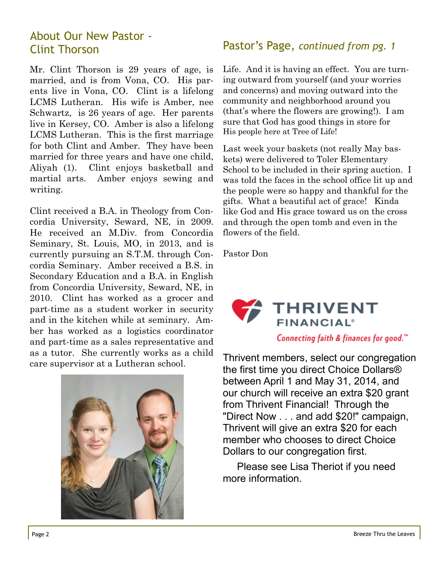# About Our New Pastor -

Mr. Clint Thorson is 29 years of age, is married, and is from Vona, CO. His parents live in Vona, CO. Clint is a lifelong LCMS Lutheran. His wife is Amber, nee Schwartz, is 26 years of age. Her parents live in Kersey, CO. Amber is also a lifelong LCMS Lutheran. This is the first marriage for both Clint and Amber. They have been married for three years and have one child, Aliyah (1). Clint enjoys basketball and martial arts. Amber enjoys sewing and writing.

Clint received a B.A. in Theology from Concordia University, Seward, NE, in 2009. He received an M.Div. from Concordia Seminary, St. Louis, MO, in 2013, and is currently pursuing an S.T.M. through Concordia Seminary. Amber received a B.S. in Secondary Education and a B.A. in English from Concordia University, Seward, NE, in 2010. Clint has worked as a grocer and part-time as a student worker in security and in the kitchen while at seminary. Amber has worked as a logistics coordinator and part-time as a sales representative and as a tutor. She currently works as a child care supervisor at a Lutheran school.



#### Clint Thorson Pastor's Page, *continued from pg. 1*

Life. And it is having an effect. You are turning outward from yourself (and your worries and concerns) and moving outward into the community and neighborhood around you (that's where the flowers are growing!). I am sure that God has good things in store for His people here at Tree of Life!

Last week your baskets (not really May baskets) were delivered to Toler Elementary School to be included in their spring auction. I was told the faces in the school office lit up and the people were so happy and thankful for the gifts. What a beautiful act of grace! Kinda like God and His grace toward us on the cross and through the open tomb and even in the flowers of the field.

Pastor Don



Thrivent members, select our congregation the first time you direct Choice Dollars® between April 1 and May 31, 2014, and our church will receive an extra \$20 grant from Thrivent Financial! Through the "Direct Now . . . and add \$20!" campaign, Thrivent will give an extra \$20 for each member who chooses to direct Choice Dollars to our congregation first.

 Please see Lisa Theriot if you need more information.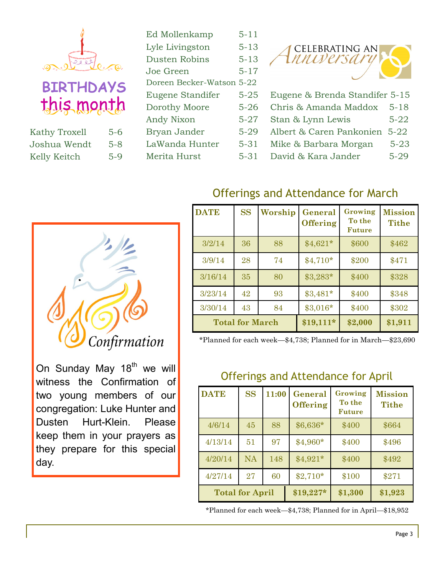

this month

| <b>Kathy Troxell</b> | 5-6     |
|----------------------|---------|
| Joshua Wendt         | $5 - 8$ |
| Kelly Keitch         | $5-9$   |

| Ed Mollenkamp             | $5 - 11$ |
|---------------------------|----------|
| Lyle Livingston           | $5 - 13$ |
| Dusten Robins             | $5 - 13$ |
| Joe Green                 | $5 - 17$ |
| Doreen Becker-Watson 5-22 |          |
| Eugene Standifer          | $5 - 25$ |
| Dorothy Moore             | $5 - 26$ |
| Andy Nixon                | $5 - 27$ |
| Bryan Jander              | $5 - 29$ |
| LaWanda Hunter            | $5 - 31$ |
| Merita Hurst              | 5-31     |



- Eugene & Brenda Standifer 5-15
- Chris & Amanda Maddox 5-18
- Stan & Lynn Lewis 5-22
- Albert & Caren Pankonien 5-22
- Mike & Barbara Morgan 5-23
- David & Kara Jander 5-29



On Sunday May  $18<sup>th</sup>$  we will witness the Confirmation of two young members of our congregation: Luke Hunter and Dusten Hurt-Klein. Please keep them in your prayers as they prepare for this special day.

# Offerings and Attendance for March

| <b>DATE</b>            | <b>SS</b> | Worship    | General<br><b>Offering</b> | Growing<br>To the<br><b>Future</b> | <b>Mission</b><br><b>Tithe</b> |
|------------------------|-----------|------------|----------------------------|------------------------------------|--------------------------------|
| 3/2/14                 | 36        | 88         | $$4,621*$                  | \$600                              | \$462                          |
| 3/9/14                 | 28        | 74         | $$4,710*$                  | \$200                              | \$471                          |
| 3/16/14                | 35        | 80         | $$3,283*$                  | \$400                              | \$328                          |
| 3/23/14                | 42        | 93         | $$3,481*$                  | \$400                              | \$348                          |
| 3/30/14                | 43        | 84         | \$3,016*                   | \$400                              | \$302                          |
| <b>Total for March</b> |           | $$19,111*$ | \$2,000                    | \$1,911                            |                                |

\*Planned for each week—\$4,738; Planned for in March—\$23,690

### Offerings and Attendance for April

| <b>DATE</b>            | <b>SS</b> | 11:00      | General<br><b>Offering</b> | Growing<br>To the<br><b>Future</b> | <b>Mission</b><br><b>Tithe</b> |
|------------------------|-----------|------------|----------------------------|------------------------------------|--------------------------------|
| 4/6/14                 | 45        | 88         | $$6,636*$                  | \$400                              | \$664                          |
| 4/13/14                | 51        | 97         | $$4,960*$                  | \$400                              | \$496                          |
| 4/20/14                | <b>NA</b> | 148        | $$4,921*$                  | \$400                              | \$492                          |
| 4/27/14                | 27        | 60         | $$2,710*$                  | \$100                              | \$271                          |
| <b>Total for April</b> |           | $$19,227*$ | \$1,300                    | \$1,923                            |                                |

\*Planned for each week—\$4,738; Planned for in April—\$18,952